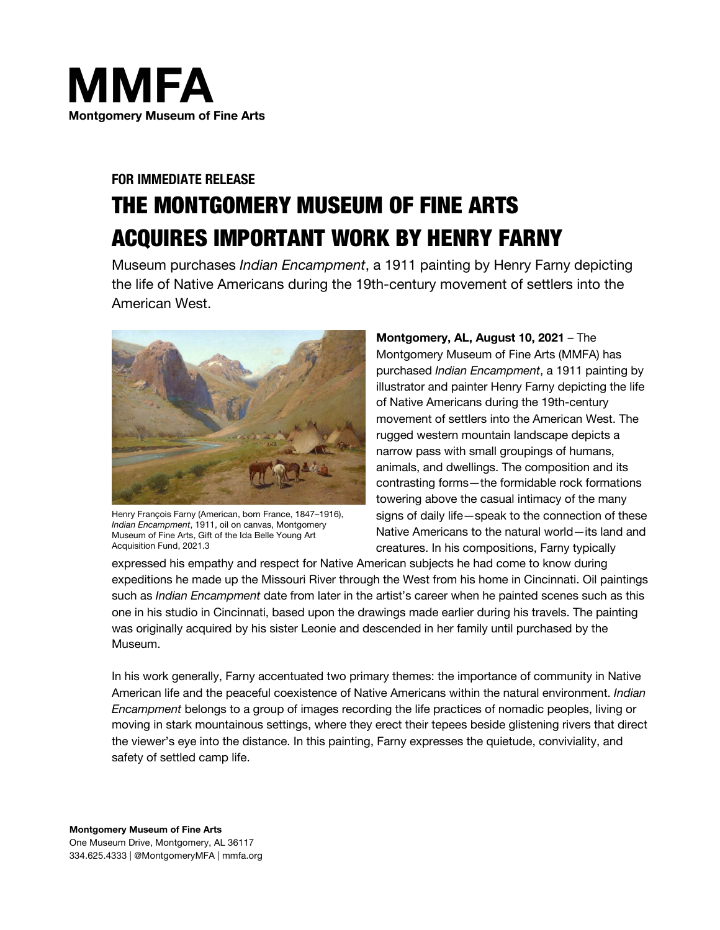

# **FOR IMMEDIATE RELEASE** THE MONTGOMERY MUSEUM OF FINE ARTS ACQUIRES IMPORTANT WORK BY HENRY FARNY

Museum purchases *Indian Encampment*, a 1911 painting by Henry Farny depicting the life of Native Americans during the 19th-century movement of settlers into the American West.



Henry François Farny (American, born France, 1847–1916), *Indian Encampment*, 1911, oil on canvas, Montgomery Museum of Fine Arts, Gift of the Ida Belle Young Art Acquisition Fund, 2021.3

**Montgomery, AL, August 10, 2021** – The Montgomery Museum of Fine Arts (MMFA) has purchased *Indian Encampment*, a 1911 painting by illustrator and painter Henry Farny depicting the life of Native Americans during the 19th-century movement of settlers into the American West. The rugged western mountain landscape depicts a narrow pass with small groupings of humans, animals, and dwellings. The composition and its contrasting forms—the formidable rock formations towering above the casual intimacy of the many signs of daily life—speak to the connection of these Native Americans to the natural world—its land and creatures. In his compositions, Farny typically

expressed his empathy and respect for Native American subjects he had come to know during expeditions he made up the Missouri River through the West from his home in Cincinnati. Oil paintings such as *Indian Encampment* date from later in the artist's career when he painted scenes such as this one in his studio in Cincinnati, based upon the drawings made earlier during his travels. The painting was originally acquired by his sister Leonie and descended in her family until purchased by the Museum.

In his work generally, Farny accentuated two primary themes: the importance of community in Native American life and the peaceful coexistence of Native Americans within the natural environment. *Indian Encampment* belongs to a group of images recording the life practices of nomadic peoples, living or moving in stark mountainous settings, where they erect their tepees beside glistening rivers that direct the viewer's eye into the distance. In this painting, Farny expresses the quietude, conviviality, and safety of settled camp life.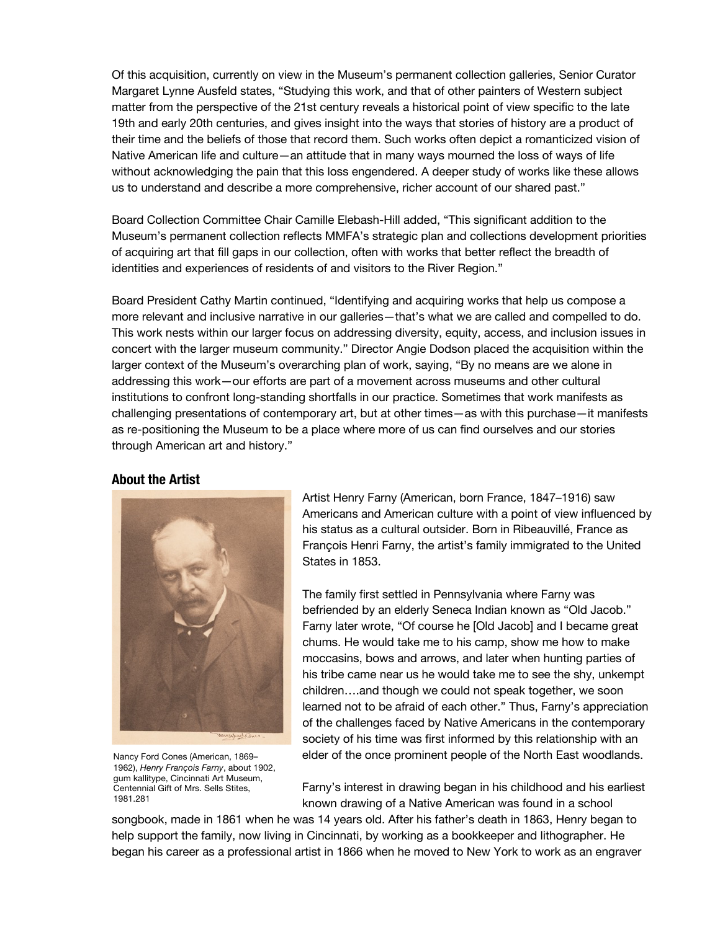Of this acquisition, currently on view in the Museum's permanent collection galleries, Senior Curator Margaret Lynne Ausfeld states, "Studying this work, and that of other painters of Western subject matter from the perspective of the 21st century reveals a historical point of view specific to the late 19th and early 20th centuries, and gives insight into the ways that stories of history are a product of their time and the beliefs of those that record them. Such works often depict a romanticized vision of Native American life and culture—an attitude that in many ways mourned the loss of ways of life without acknowledging the pain that this loss engendered. A deeper study of works like these allows us to understand and describe a more comprehensive, richer account of our shared past."

Board Collection Committee Chair Camille Elebash-Hill added, "This significant addition to the Museum's permanent collection reflects MMFA's strategic plan and collections development priorities of acquiring art that fill gaps in our collection, often with works that better reflect the breadth of identities and experiences of residents of and visitors to the River Region."

Board President Cathy Martin continued, "Identifying and acquiring works that help us compose a more relevant and inclusive narrative in our galleries—that's what we are called and compelled to do. This work nests within our larger focus on addressing diversity, equity, access, and inclusion issues in concert with the larger museum community." Director Angie Dodson placed the acquisition within the larger context of the Museum's overarching plan of work, saying, "By no means are we alone in addressing this work—our efforts are part of a movement across museums and other cultural institutions to confront long-standing shortfalls in our practice. Sometimes that work manifests as challenging presentations of contemporary art, but at other times—as with this purchase—it manifests as re-positioning the Museum to be a place where more of us can find ourselves and our stories through American art and history."

## **About the Artist**



Nancy Ford Cones (American, 1869– 1962), *Henry François Farny*, about 1902, gum kallitype, Cincinnati Art Museum, Centennial Gift of Mrs. Sells Stites, 1981.281

Artist Henry Farny (American, born France, 1847–1916) saw Americans and American culture with a point of view influenced by his status as a cultural outsider. Born in Ribeauvillé, France as François Henri Farny, the artist's family immigrated to the United States in 1853.

The family first settled in Pennsylvania where Farny was befriended by an elderly Seneca Indian known as "Old Jacob." Farny later wrote, "Of course he [Old Jacob] and I became great chums. He would take me to his camp, show me how to make moccasins, bows and arrows, and later when hunting parties of his tribe came near us he would take me to see the shy, unkempt children….and though we could not speak together, we soon learned not to be afraid of each other." Thus, Farny's appreciation of the challenges faced by Native Americans in the contemporary society of his time was first informed by this relationship with an elder of the once prominent people of the North East woodlands.

Farny's interest in drawing began in his childhood and his earliest known drawing of a Native American was found in a school

songbook, made in 1861 when he was 14 years old. After his father's death in 1863, Henry began to help support the family, now living in Cincinnati, by working as a bookkeeper and lithographer. He began his career as a professional artist in 1866 when he moved to New York to work as an engraver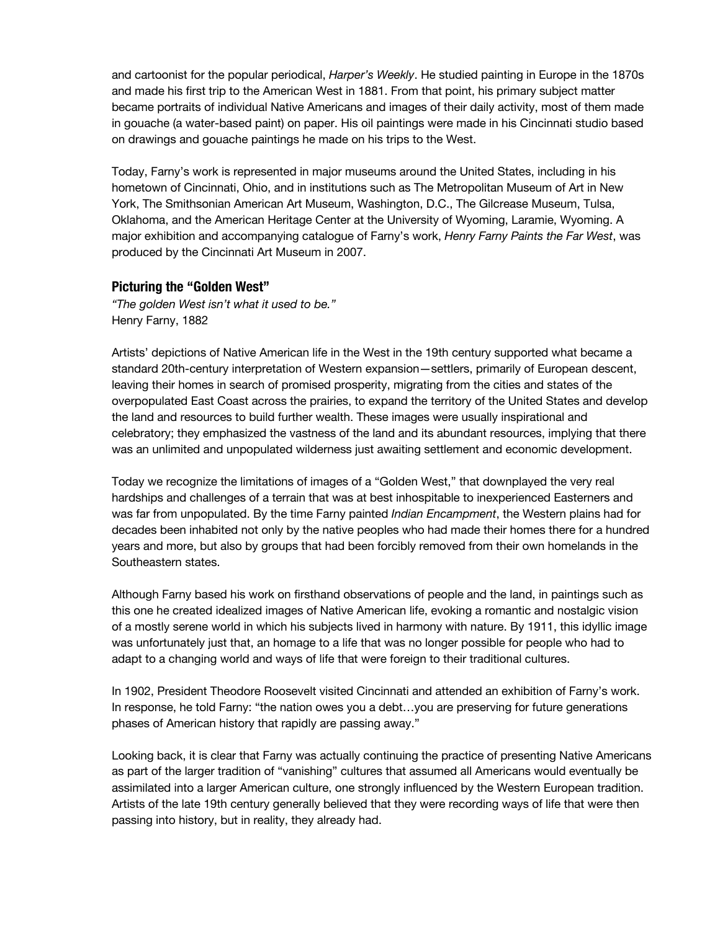and cartoonist for the popular periodical, *Harper's Weekly*. He studied painting in Europe in the 1870s and made his first trip to the American West in 1881. From that point, his primary subject matter became portraits of individual Native Americans and images of their daily activity, most of them made in gouache (a water-based paint) on paper. His oil paintings were made in his Cincinnati studio based on drawings and gouache paintings he made on his trips to the West.

Today, Farny's work is represented in major museums around the United States, including in his hometown of Cincinnati, Ohio, and in institutions such as The Metropolitan Museum of Art in New York, The Smithsonian American Art Museum, Washington, D.C., The Gilcrease Museum, Tulsa, Oklahoma, and the American Heritage Center at the University of Wyoming, Laramie, Wyoming. A major exhibition and accompanying catalogue of Farny's work, *Henry Farny Paints the Far West*, was produced by the Cincinnati Art Museum in 2007.

#### **Picturing the "Golden West"**

*"The golden West isn't what it used to be."* Henry Farny, 1882

Artists' depictions of Native American life in the West in the 19th century supported what became a standard 20th-century interpretation of Western expansion—settlers, primarily of European descent, leaving their homes in search of promised prosperity, migrating from the cities and states of the overpopulated East Coast across the prairies, to expand the territory of the United States and develop the land and resources to build further wealth. These images were usually inspirational and celebratory; they emphasized the vastness of the land and its abundant resources, implying that there was an unlimited and unpopulated wilderness just awaiting settlement and economic development.

Today we recognize the limitations of images of a "Golden West," that downplayed the very real hardships and challenges of a terrain that was at best inhospitable to inexperienced Easterners and was far from unpopulated. By the time Farny painted *Indian Encampment*, the Western plains had for decades been inhabited not only by the native peoples who had made their homes there for a hundred years and more, but also by groups that had been forcibly removed from their own homelands in the Southeastern states.

Although Farny based his work on firsthand observations of people and the land, in paintings such as this one he created idealized images of Native American life, evoking a romantic and nostalgic vision of a mostly serene world in which his subjects lived in harmony with nature. By 1911, this idyllic image was unfortunately just that, an homage to a life that was no longer possible for people who had to adapt to a changing world and ways of life that were foreign to their traditional cultures.

In 1902, President Theodore Roosevelt visited Cincinnati and attended an exhibition of Farny's work. In response, he told Farny: "the nation owes you a debt…you are preserving for future generations phases of American history that rapidly are passing away."

Looking back, it is clear that Farny was actually continuing the practice of presenting Native Americans as part of the larger tradition of "vanishing" cultures that assumed all Americans would eventually be assimilated into a larger American culture, one strongly influenced by the Western European tradition. Artists of the late 19th century generally believed that they were recording ways of life that were then passing into history, but in reality, they already had.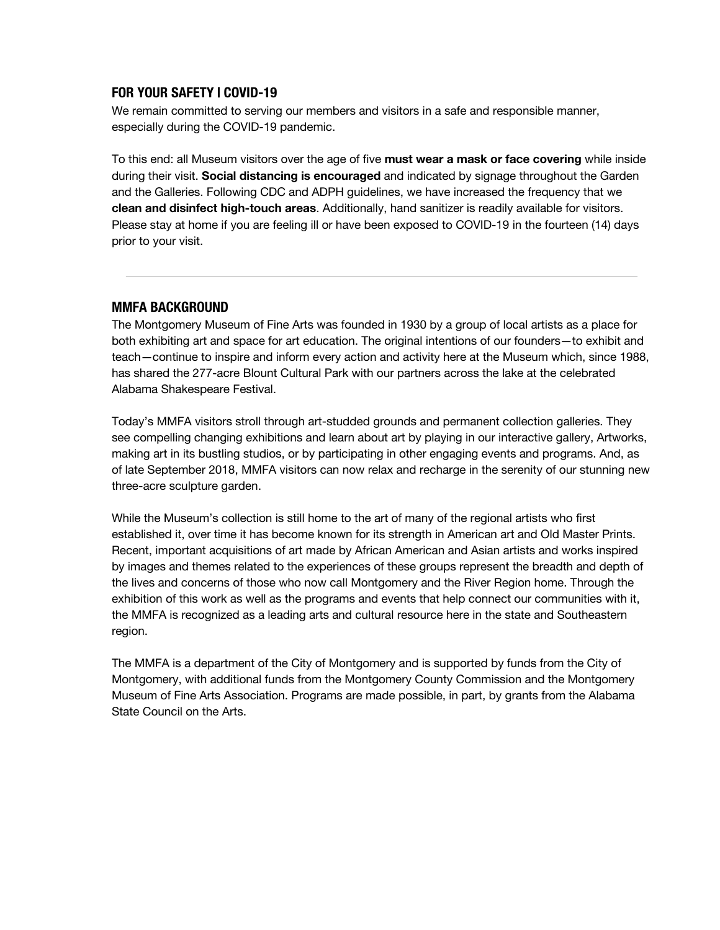## **FOR YOUR SAFETY | COVID-19**

We remain committed to serving our members and visitors in a safe and responsible manner, especially during the COVID-19 pandemic.

To this end: all Museum visitors over the age of five **must wear a mask or face covering** while inside during their visit. **Social distancing is encouraged** and indicated by signage throughout the Garden and the Galleries. Following CDC and ADPH guidelines, we have increased the frequency that we **clean and disinfect high-touch areas**. Additionally, hand sanitizer is readily available for visitors. Please stay at home if you are feeling ill or have been exposed to COVID-19 in the fourteen (14) days prior to your visit.

#### **MMFA BACKGROUND**

The Montgomery Museum of Fine Arts was founded in 1930 by a group of local artists as a place for both exhibiting art and space for art education. The original intentions of our founders—to exhibit and teach—continue to inspire and inform every action and activity here at the Museum which, since 1988, has shared the 277-acre Blount Cultural Park with our partners across the lake at the celebrated Alabama Shakespeare Festival.

Today's MMFA visitors stroll through art-studded grounds and permanent collection galleries. They see compelling changing exhibitions and learn about art by playing in our interactive gallery, Artworks, making art in its bustling studios, or by participating in other engaging events and programs. And, as of late September 2018, MMFA visitors can now relax and recharge in the serenity of our stunning new three-acre sculpture garden.

While the Museum's collection is still home to the art of many of the regional artists who first established it, over time it has become known for its strength in American art and Old Master Prints. Recent, important acquisitions of art made by African American and Asian artists and works inspired by images and themes related to the experiences of these groups represent the breadth and depth of the lives and concerns of those who now call Montgomery and the River Region home. Through the exhibition of this work as well as the programs and events that help connect our communities with it, the MMFA is recognized as a leading arts and cultural resource here in the state and Southeastern region.

The MMFA is a department of the City of Montgomery and is supported by funds from the City of Montgomery, with additional funds from the Montgomery County Commission and the Montgomery Museum of Fine Arts Association. Programs are made possible, in part, by grants from the Alabama State Council on the Arts.